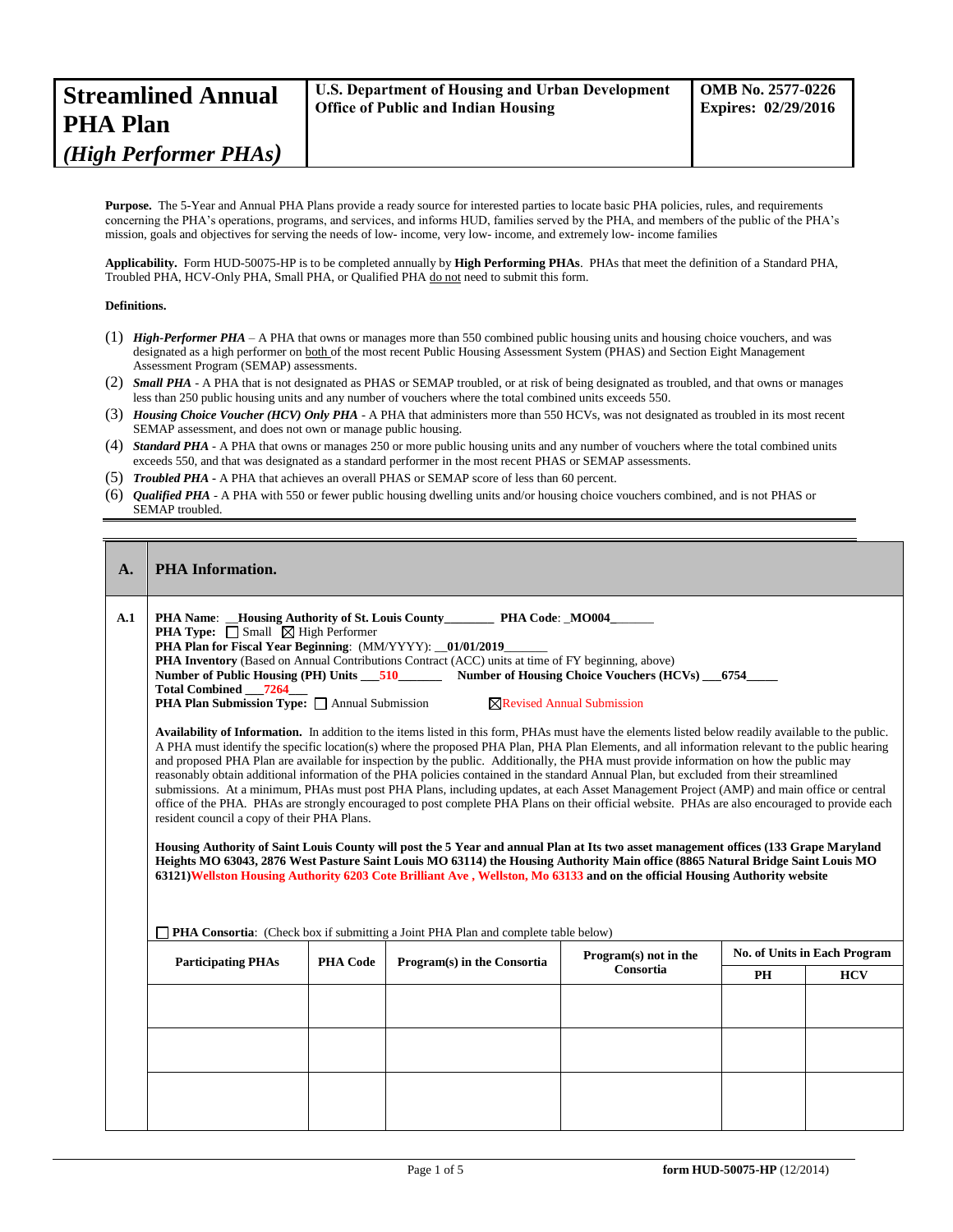| <b>Streamlined Annual</b><br><b>PHA Plan</b> | U.S. Department of Housing and Urban Development<br><b>Office of Public and Indian Housing</b> | <b>OMB</b> No. 2577-0226<br><b>Expires: 02/29/2016</b> |
|----------------------------------------------|------------------------------------------------------------------------------------------------|--------------------------------------------------------|
| (High Performer PHAs)                        |                                                                                                |                                                        |
|                                              |                                                                                                |                                                        |

**Purpose.** The 5-Year and Annual PHA Plans provide a ready source for interested parties to locate basic PHA policies, rules, and requirements concerning the PHA's operations, programs, and services, and informs HUD, families served by the PHA, and members of the public of the PHA's mission, goals and objectives for serving the needs of low- income, very low- income, and extremely low- income families

**Applicability.** Form HUD-50075-HP is to be completed annually by **High Performing PHAs**. PHAs that meet the definition of a Standard PHA, Troubled PHA, HCV-Only PHA, Small PHA, or Qualified PHA do not need to submit this form.

## **Definitions.**

- (1) *High-Performer PHA* A PHA that owns or manages more than 550 combined public housing units and housing choice vouchers, and was designated as a high performer on both of the most recent Public Housing Assessment System (PHAS) and Section Eight Management Assessment Program (SEMAP) assessments.
- (2) *Small PHA* A PHA that is not designated as PHAS or SEMAP troubled, or at risk of being designated as troubled, and that owns or manages less than 250 public housing units and any number of vouchers where the total combined units exceeds 550.
- (3) *Housing Choice Voucher (HCV) Only PHA* A PHA that administers more than 550 HCVs, was not designated as troubled in its most recent SEMAP assessment, and does not own or manage public housing.
- (4) *Standard PHA* A PHA that owns or manages 250 or more public housing units and any number of vouchers where the total combined units exceeds 550, and that was designated as a standard performer in the most recent PHAS or SEMAP assessments.
- (5) *Troubled PHA* **-** A PHA that achieves an overall PHAS or SEMAP score of less than 60 percent.
- (6) *Qualified PHA* A PHA with 550 or fewer public housing dwelling units and/or housing choice vouchers combined, and is not PHAS or SEMAP troubled.

| A.  | <b>PHA</b> Information.                                                                                              |                                                                                                                                                                                                                                                                                                                                                                                                                                                                                                                                                                                                                                                                                                                                                                                                                                                                                                                                                                                                                                                                                                                                                                                                                                                                                                                                                                                                                                                                                                                                                                                                                                                                                                                                                                                                                                              |  |                                    |                                     |            |  |
|-----|----------------------------------------------------------------------------------------------------------------------|----------------------------------------------------------------------------------------------------------------------------------------------------------------------------------------------------------------------------------------------------------------------------------------------------------------------------------------------------------------------------------------------------------------------------------------------------------------------------------------------------------------------------------------------------------------------------------------------------------------------------------------------------------------------------------------------------------------------------------------------------------------------------------------------------------------------------------------------------------------------------------------------------------------------------------------------------------------------------------------------------------------------------------------------------------------------------------------------------------------------------------------------------------------------------------------------------------------------------------------------------------------------------------------------------------------------------------------------------------------------------------------------------------------------------------------------------------------------------------------------------------------------------------------------------------------------------------------------------------------------------------------------------------------------------------------------------------------------------------------------------------------------------------------------------------------------------------------------|--|------------------------------------|-------------------------------------|------------|--|
| A.1 | Total Combined __7264__<br><b>PHA Consortia:</b> (Check box if submitting a Joint PHA Plan and complete table below) | <b>PHA Name:</b> Housing Authority of St. Louis County PHA Code: MO004<br><b>PHA Type:</b> $\Box$ Small $\Box$ High Performer<br>PHA Plan for Fiscal Year Beginning: (MM/YYYY): _01/01/2019_<br>PHA Inventory (Based on Annual Contributions Contract (ACC) units at time of FY beginning, above)<br>Number of Public Housing (PH) Units 510 Number of Housing Choice Vouchers (HCVs) 6754<br>PHA Plan Submission Type: □ Annual Submission<br>$\boxtimes$ Revised Annual Submission<br>Availability of Information. In addition to the items listed in this form, PHAs must have the elements listed below readily available to the public.<br>A PHA must identify the specific location(s) where the proposed PHA Plan, PHA Plan Elements, and all information relevant to the public hearing<br>and proposed PHA Plan are available for inspection by the public. Additionally, the PHA must provide information on how the public may<br>reasonably obtain additional information of the PHA policies contained in the standard Annual Plan, but excluded from their streamlined<br>submissions. At a minimum, PHAs must post PHA Plans, including updates, at each Asset Management Project (AMP) and main office or central<br>office of the PHA. PHAs are strongly encouraged to post complete PHA Plans on their official website. PHAs are also encouraged to provide each<br>resident council a copy of their PHA Plans.<br>Housing Authority of Saint Louis County will post the 5 Year and annual Plan at Its two asset management offices (133 Grape Maryland<br>Heights MO 63043, 2876 West Pasture Saint Louis MO 63114) the Housing Authority Main office (8865 Natural Bridge Saint Louis MO<br>63121) Wellston Housing Authority 6203 Cote Brilliant Ave, Wellston, Mo 63133 and on the official Housing Authority website |  |                                    |                                     |            |  |
|     |                                                                                                                      |                                                                                                                                                                                                                                                                                                                                                                                                                                                                                                                                                                                                                                                                                                                                                                                                                                                                                                                                                                                                                                                                                                                                                                                                                                                                                                                                                                                                                                                                                                                                                                                                                                                                                                                                                                                                                                              |  | Program(s) not in the<br>Consortia | <b>No. of Units in Each Program</b> |            |  |
|     |                                                                                                                      | <b>PHA Code</b><br><b>Participating PHAs</b><br>Program(s) in the Consortia                                                                                                                                                                                                                                                                                                                                                                                                                                                                                                                                                                                                                                                                                                                                                                                                                                                                                                                                                                                                                                                                                                                                                                                                                                                                                                                                                                                                                                                                                                                                                                                                                                                                                                                                                                  |  |                                    | PH                                  | <b>HCV</b> |  |
|     |                                                                                                                      |                                                                                                                                                                                                                                                                                                                                                                                                                                                                                                                                                                                                                                                                                                                                                                                                                                                                                                                                                                                                                                                                                                                                                                                                                                                                                                                                                                                                                                                                                                                                                                                                                                                                                                                                                                                                                                              |  |                                    |                                     |            |  |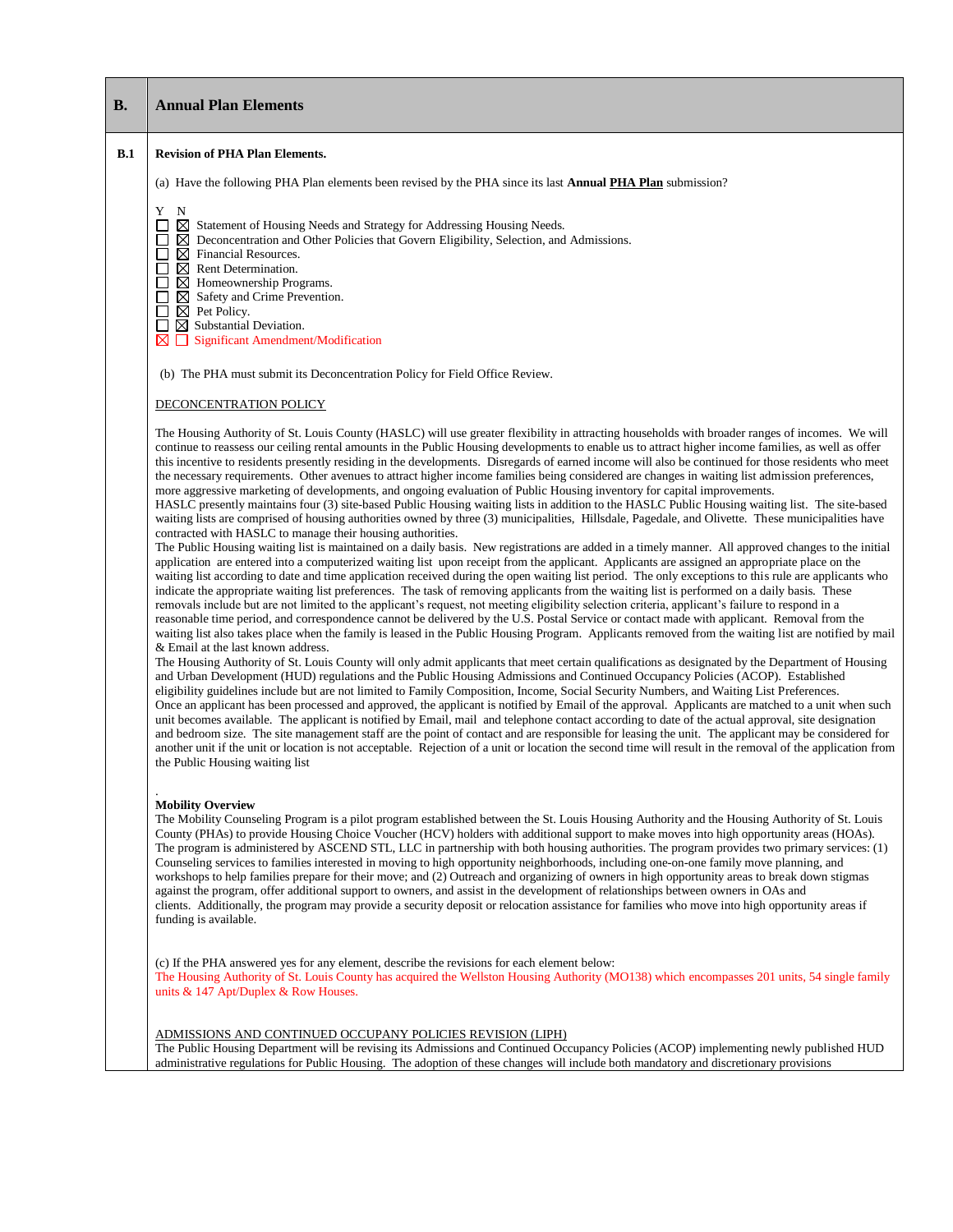| В.  | <b>Annual Plan Elements</b>                                                                                                                                                                                                                                                                                                                                                                                                                                                                                                                                                                                                                                                                                                                                                                                                                                                                                                                                                                                                                                                                                                                                                                                                                                                                                                                                                                                                                                                                                                                                                                                                                                                                                                                                                                                                                                                                                                                                                                                                                                                                                                                                                                                                                                                                                                                                                                                                                                                                                                                                                                                                                                                                                                                                                                                                                                                                                                                                                                                                                                                                                                                                                                                                                                                                                                             |
|-----|-----------------------------------------------------------------------------------------------------------------------------------------------------------------------------------------------------------------------------------------------------------------------------------------------------------------------------------------------------------------------------------------------------------------------------------------------------------------------------------------------------------------------------------------------------------------------------------------------------------------------------------------------------------------------------------------------------------------------------------------------------------------------------------------------------------------------------------------------------------------------------------------------------------------------------------------------------------------------------------------------------------------------------------------------------------------------------------------------------------------------------------------------------------------------------------------------------------------------------------------------------------------------------------------------------------------------------------------------------------------------------------------------------------------------------------------------------------------------------------------------------------------------------------------------------------------------------------------------------------------------------------------------------------------------------------------------------------------------------------------------------------------------------------------------------------------------------------------------------------------------------------------------------------------------------------------------------------------------------------------------------------------------------------------------------------------------------------------------------------------------------------------------------------------------------------------------------------------------------------------------------------------------------------------------------------------------------------------------------------------------------------------------------------------------------------------------------------------------------------------------------------------------------------------------------------------------------------------------------------------------------------------------------------------------------------------------------------------------------------------------------------------------------------------------------------------------------------------------------------------------------------------------------------------------------------------------------------------------------------------------------------------------------------------------------------------------------------------------------------------------------------------------------------------------------------------------------------------------------------------------------------------------------------------------------------------------------------------|
| B.1 | <b>Revision of PHA Plan Elements.</b>                                                                                                                                                                                                                                                                                                                                                                                                                                                                                                                                                                                                                                                                                                                                                                                                                                                                                                                                                                                                                                                                                                                                                                                                                                                                                                                                                                                                                                                                                                                                                                                                                                                                                                                                                                                                                                                                                                                                                                                                                                                                                                                                                                                                                                                                                                                                                                                                                                                                                                                                                                                                                                                                                                                                                                                                                                                                                                                                                                                                                                                                                                                                                                                                                                                                                                   |
|     | (a) Have the following PHA Plan elements been revised by the PHA since its last <b>Annual PHA Plan</b> submission?                                                                                                                                                                                                                                                                                                                                                                                                                                                                                                                                                                                                                                                                                                                                                                                                                                                                                                                                                                                                                                                                                                                                                                                                                                                                                                                                                                                                                                                                                                                                                                                                                                                                                                                                                                                                                                                                                                                                                                                                                                                                                                                                                                                                                                                                                                                                                                                                                                                                                                                                                                                                                                                                                                                                                                                                                                                                                                                                                                                                                                                                                                                                                                                                                      |
|     | Y N<br>П<br>⊠<br>Statement of Housing Needs and Strategy for Addressing Housing Needs.<br>$\boxtimes$ Deconcentration and Other Policies that Govern Eligibility, Selection, and Admissions.<br>$\boxtimes$ Financial Resources.<br>$\boxtimes$ Rent Determination.<br>$\boxtimes$ Homeownership Programs.<br>$\boxtimes$ Safety and Crime Prevention.<br>$\boxtimes$ Pet Policy.<br>$\Box$<br>$\boxtimes$ Substantial Deviation.<br>ப<br>⊠<br>Significant Amendment/Modification<br>П                                                                                                                                                                                                                                                                                                                                                                                                                                                                                                                                                                                                                                                                                                                                                                                                                                                                                                                                                                                                                                                                                                                                                                                                                                                                                                                                                                                                                                                                                                                                                                                                                                                                                                                                                                                                                                                                                                                                                                                                                                                                                                                                                                                                                                                                                                                                                                                                                                                                                                                                                                                                                                                                                                                                                                                                                                                  |
|     | (b) The PHA must submit its Deconcentration Policy for Field Office Review.                                                                                                                                                                                                                                                                                                                                                                                                                                                                                                                                                                                                                                                                                                                                                                                                                                                                                                                                                                                                                                                                                                                                                                                                                                                                                                                                                                                                                                                                                                                                                                                                                                                                                                                                                                                                                                                                                                                                                                                                                                                                                                                                                                                                                                                                                                                                                                                                                                                                                                                                                                                                                                                                                                                                                                                                                                                                                                                                                                                                                                                                                                                                                                                                                                                             |
|     | DECONCENTRATION POLICY                                                                                                                                                                                                                                                                                                                                                                                                                                                                                                                                                                                                                                                                                                                                                                                                                                                                                                                                                                                                                                                                                                                                                                                                                                                                                                                                                                                                                                                                                                                                                                                                                                                                                                                                                                                                                                                                                                                                                                                                                                                                                                                                                                                                                                                                                                                                                                                                                                                                                                                                                                                                                                                                                                                                                                                                                                                                                                                                                                                                                                                                                                                                                                                                                                                                                                                  |
|     | The Housing Authority of St. Louis County (HASLC) will use greater flexibility in attracting households with broader ranges of incomes. We will<br>continue to reassess our ceiling rental amounts in the Public Housing developments to enable us to attract higher income families, as well as offer<br>this incentive to residents presently residing in the developments. Disregards of earned income will also be continued for those residents who meet<br>the necessary requirements. Other avenues to attract higher income families being considered are changes in waiting list admission preferences,<br>more aggressive marketing of developments, and ongoing evaluation of Public Housing inventory for capital improvements.<br>HASLC presently maintains four (3) site-based Public Housing waiting lists in addition to the HASLC Public Housing waiting list. The site-based<br>waiting lists are comprised of housing authorities owned by three (3) municipalities, Hillsdale, Pagedale, and Olivette. These municipalities have<br>contracted with HASLC to manage their housing authorities.<br>The Public Housing waiting list is maintained on a daily basis. New registrations are added in a timely manner. All approved changes to the initial<br>application are entered into a computerized waiting list upon receipt from the applicant. Applicants are assigned an appropriate place on the<br>waiting list according to date and time application received during the open waiting list period. The only exceptions to this rule are applicants who<br>indicate the appropriate waiting list preferences. The task of removing applicants from the waiting list is performed on a daily basis. These<br>removals include but are not limited to the applicant's request, not meeting eligibility selection criteria, applicant's failure to respond in a<br>reasonable time period, and correspondence cannot be delivered by the U.S. Postal Service or contact made with applicant. Removal from the<br>waiting list also takes place when the family is leased in the Public Housing Program. Applicants removed from the waiting list are notified by mail<br>& Email at the last known address.<br>The Housing Authority of St. Louis County will only admit applicants that meet certain qualifications as designated by the Department of Housing<br>and Urban Development (HUD) regulations and the Public Housing Admissions and Continued Occupancy Policies (ACOP). Established<br>eligibility guidelines include but are not limited to Family Composition, Income, Social Security Numbers, and Waiting List Preferences.<br>Once an applicant has been processed and approved, the applicant is notified by Email of the approval. Applicants are matched to a unit when such<br>unit becomes available. The applicant is notified by Email, mail and telephone contact according to date of the actual approval, site designation<br>and bedroom size. The site management staff are the point of contact and are responsible for leasing the unit. The applicant may be considered for<br>another unit if the unit or location is not acceptable. Rejection of a unit or location the second time will result in the removal of the application from<br>the Public Housing waiting list |
|     | <b>Mobility Overview</b><br>The Mobility Counseling Program is a pilot program established between the St. Louis Housing Authority and the Housing Authority of St. Louis<br>County (PHAs) to provide Housing Choice Voucher (HCV) holders with additional support to make moves into high opportunity areas (HOAs).<br>The program is administered by ASCEND STL, LLC in partnership with both housing authorities. The program provides two primary services: (1)<br>Counseling services to families interested in moving to high opportunity neighborhoods, including one-on-one family move planning, and<br>workshops to help families prepare for their move; and (2) Outreach and organizing of owners in high opportunity areas to break down stigmas<br>against the program, offer additional support to owners, and assist in the development of relationships between owners in OAs and<br>clients. Additionally, the program may provide a security deposit or relocation assistance for families who move into high opportunity areas if<br>funding is available.                                                                                                                                                                                                                                                                                                                                                                                                                                                                                                                                                                                                                                                                                                                                                                                                                                                                                                                                                                                                                                                                                                                                                                                                                                                                                                                                                                                                                                                                                                                                                                                                                                                                                                                                                                                                                                                                                                                                                                                                                                                                                                                                                                                                                                                          |
|     | (c) If the PHA answered yes for any element, describe the revisions for each element below:<br>The Housing Authority of St. Louis County has acquired the Wellston Housing Authority (MO138) which encompasses 201 units, 54 single family<br>units $\&$ 147 Apt/Duplex $\&$ Row Houses.                                                                                                                                                                                                                                                                                                                                                                                                                                                                                                                                                                                                                                                                                                                                                                                                                                                                                                                                                                                                                                                                                                                                                                                                                                                                                                                                                                                                                                                                                                                                                                                                                                                                                                                                                                                                                                                                                                                                                                                                                                                                                                                                                                                                                                                                                                                                                                                                                                                                                                                                                                                                                                                                                                                                                                                                                                                                                                                                                                                                                                                |
|     | ADMISSIONS AND CONTINUED OCCUPANY POLICIES REVISION (LIPH)<br>The Public Housing Department will be revising its Admissions and Continued Occupancy Policies (ACOP) implementing newly published HUD<br>administrative regulations for Public Housing. The adoption of these changes will include both mandatory and discretionary provisions                                                                                                                                                                                                                                                                                                                                                                                                                                                                                                                                                                                                                                                                                                                                                                                                                                                                                                                                                                                                                                                                                                                                                                                                                                                                                                                                                                                                                                                                                                                                                                                                                                                                                                                                                                                                                                                                                                                                                                                                                                                                                                                                                                                                                                                                                                                                                                                                                                                                                                                                                                                                                                                                                                                                                                                                                                                                                                                                                                                           |